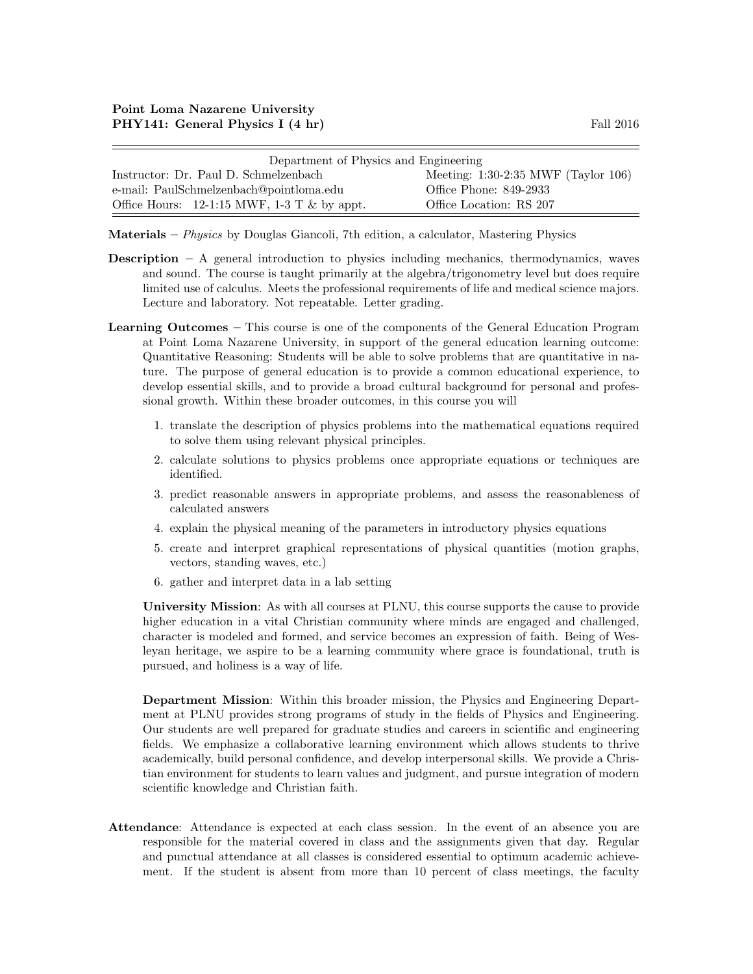| Department of Physics and Engineering                           |                                       |  |
|-----------------------------------------------------------------|---------------------------------------|--|
| Instructor: Dr. Paul D. Schmelzenbach                           | Meeting: $1:30-2:35$ MWF (Taylor 106) |  |
| e-mail: PaulSchmelzenbach@pointloma.edu                         | Office Phone: 849-2933                |  |
| Office Hours: $12{\text -}1:15$ MWF, $1{\text -}3$ T & by appt. | Office Location: RS 207               |  |

Materials – Physics by Douglas Giancoli, 7th edition, a calculator, Mastering Physics

- **Description** A general introduction to physics including mechanics, thermodynamics, waves and sound. The course is taught primarily at the algebra/trigonometry level but does require limited use of calculus. Meets the professional requirements of life and medical science majors. Lecture and laboratory. Not repeatable. Letter grading.
- Learning Outcomes This course is one of the components of the General Education Program at Point Loma Nazarene University, in support of the general education learning outcome: Quantitative Reasoning: Students will be able to solve problems that are quantitative in nature. The purpose of general education is to provide a common educational experience, to develop essential skills, and to provide a broad cultural background for personal and professional growth. Within these broader outcomes, in this course you will
	- 1. translate the description of physics problems into the mathematical equations required to solve them using relevant physical principles.
	- 2. calculate solutions to physics problems once appropriate equations or techniques are identified.
	- 3. predict reasonable answers in appropriate problems, and assess the reasonableness of calculated answers
	- 4. explain the physical meaning of the parameters in introductory physics equations
	- 5. create and interpret graphical representations of physical quantities (motion graphs, vectors, standing waves, etc.)
	- 6. gather and interpret data in a lab setting

University Mission: As with all courses at PLNU, this course supports the cause to provide higher education in a vital Christian community where minds are engaged and challenged, character is modeled and formed, and service becomes an expression of faith. Being of Wesleyan heritage, we aspire to be a learning community where grace is foundational, truth is pursued, and holiness is a way of life.

Department Mission: Within this broader mission, the Physics and Engineering Department at PLNU provides strong programs of study in the fields of Physics and Engineering. Our students are well prepared for graduate studies and careers in scientific and engineering fields. We emphasize a collaborative learning environment which allows students to thrive academically, build personal confidence, and develop interpersonal skills. We provide a Christian environment for students to learn values and judgment, and pursue integration of modern scientific knowledge and Christian faith.

Attendance: Attendance is expected at each class session. In the event of an absence you are responsible for the material covered in class and the assignments given that day. Regular and punctual attendance at all classes is considered essential to optimum academic achievement. If the student is absent from more than 10 percent of class meetings, the faculty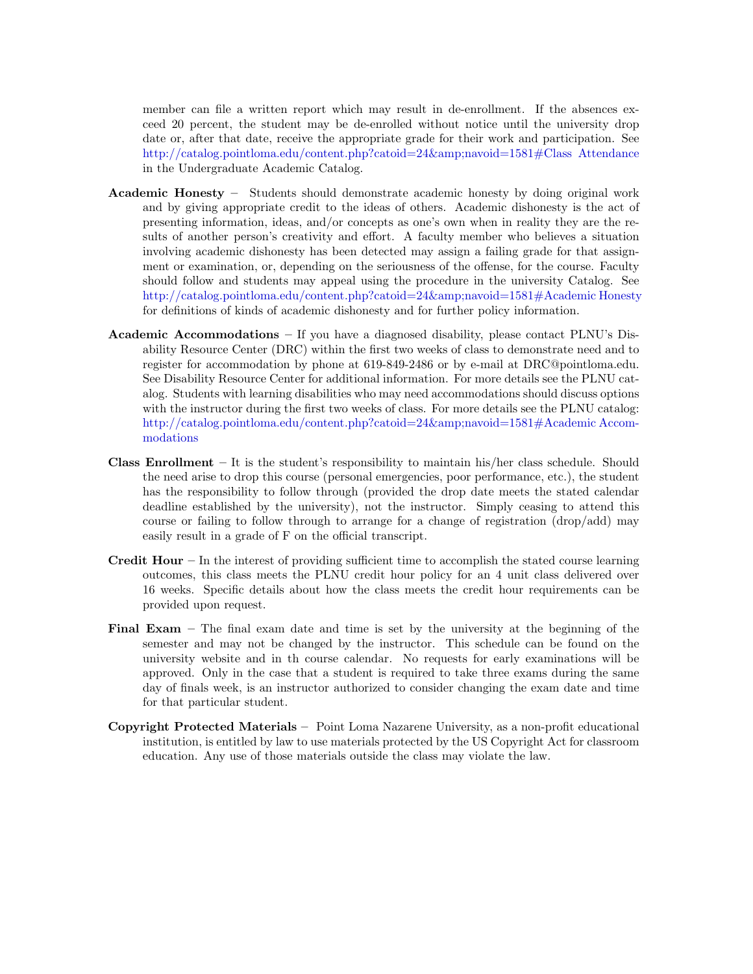member can file a written report which may result in de-enrollment. If the absences exceed 20 percent, the student may be de-enrolled without notice until the university drop date or, after that date, receive the appropriate grade for their work and participation. See [http://catalog.pointloma.edu/content.php?catoid=24&navoid=1581#Class Attendance](http://catalog.pointloma.edu/content.php?catoid=24&navoid=1581) in the Undergraduate Academic Catalog.

- Academic Honesty Students should demonstrate academic honesty by doing original work and by giving appropriate credit to the ideas of others. Academic dishonesty is the act of presenting information, ideas, and/or concepts as one's own when in reality they are the results of another person's creativity and effort. A faculty member who believes a situation involving academic dishonesty has been detected may assign a failing grade for that assignment or examination, or, depending on the seriousness of the offense, for the course. Faculty should follow and students may appeal using the procedure in the university Catalog. See [http://catalog.pointloma.edu/content.php?catoid=24&navoid=1581#Academic Honesty](http://catalog.pointloma.edu/content.php?catoid=24&navoid=1581) for definitions of kinds of academic dishonesty and for further policy information.
- Academic Accommodations  $-$  If you have a diagnosed disability, please contact PLNU's Disability Resource Center (DRC) within the first two weeks of class to demonstrate need and to register for accommodation by phone at 619-849-2486 or by e-mail at DRC@pointloma.edu. See Disability Resource Center for additional information. For more details see the PLNU catalog. Students with learning disabilities who may need accommodations should discuss options with the instructor during the first two weeks of class. For more details see the PLNU catalog: [http://catalog.pointloma.edu/content.php?catoid=24&navoid=1581#Academic Accom](http://catalog.pointloma.edu/content.php?catoid=24&navoid=1581)[modations](http://catalog.pointloma.edu/content.php?catoid=24&navoid=1581)
- **Class Enrollment** It is the student's responsibility to maintain his/her class schedule. Should the need arise to drop this course (personal emergencies, poor performance, etc.), the student has the responsibility to follow through (provided the drop date meets the stated calendar deadline established by the university), not the instructor. Simply ceasing to attend this course or failing to follow through to arrange for a change of registration (drop/add) may easily result in a grade of F on the official transcript.
- **Credit Hour** In the interest of providing sufficient time to accomplish the stated course learning outcomes, this class meets the PLNU credit hour policy for an 4 unit class delivered over 16 weeks. Specific details about how the class meets the credit hour requirements can be provided upon request.
- Final Exam The final exam date and time is set by the university at the beginning of the semester and may not be changed by the instructor. This schedule can be found on the university website and in th course calendar. No requests for early examinations will be approved. Only in the case that a student is required to take three exams during the same day of finals week, is an instructor authorized to consider changing the exam date and time for that particular student.
- Copyright Protected Materials Point Loma Nazarene University, as a non-profit educational institution, is entitled by law to use materials protected by the US Copyright Act for classroom education. Any use of those materials outside the class may violate the law.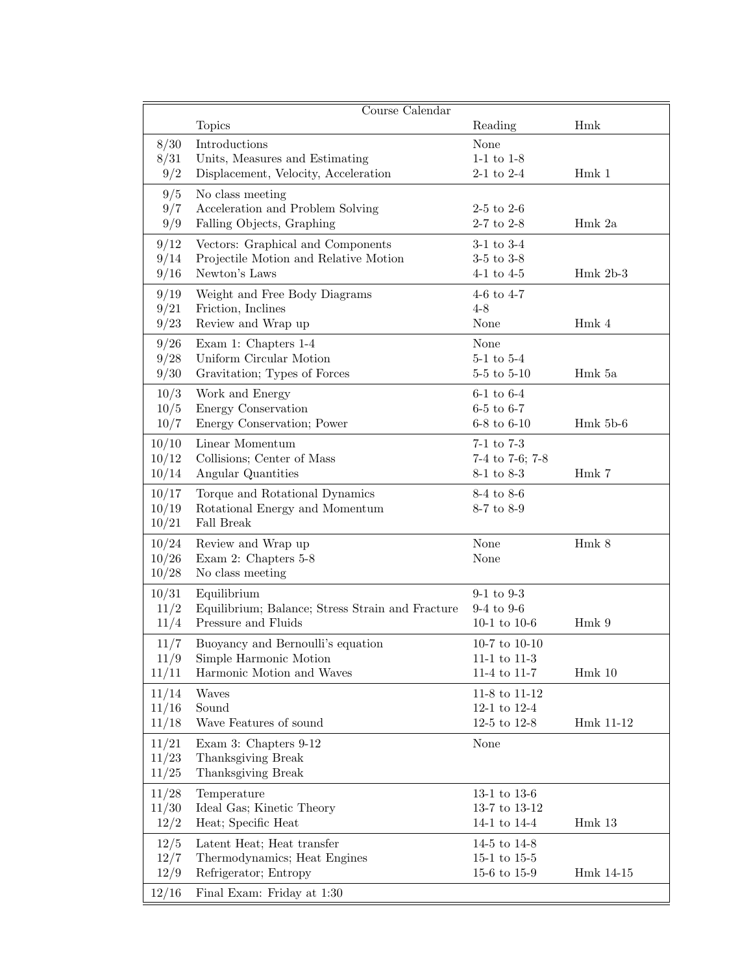|       | Course $\overline{\text{Calendar}}$              |                 |                   |
|-------|--------------------------------------------------|-----------------|-------------------|
|       | <b>Topics</b>                                    | Reading         | Hmk               |
| 8/30  | Introductions                                    | None            |                   |
| 8/31  | Units, Measures and Estimating                   | $1-1$ to $1-8$  |                   |
| 9/2   | Displacement, Velocity, Acceleration             | $2-1$ to $2-4$  | Hmk 1             |
| 9/5   | No class meeting                                 |                 |                   |
| 9/7   | Acceleration and Problem Solving                 | $2-5$ to $2-6$  |                   |
| 9/9   | Falling Objects, Graphing                        | $2-7$ to $2-8$  | Hmk 2a            |
| 9/12  | Vectors: Graphical and Components                | $3-1$ to $3-4$  |                   |
| 9/14  | Projectile Motion and Relative Motion            | $3-5$ to $3-8$  |                   |
| 9/16  | Newton's Laws                                    | $4-1$ to $4-5$  | $Hmk 2b-3$        |
| 9/19  | Weight and Free Body Diagrams                    | 4-6 to $4-7$    |                   |
| 9/21  | Friction, Inclines                               | $4 - 8$         |                   |
| 9/23  | Review and Wrap up                               | None            | Hmk <sub>4</sub>  |
| 9/26  | Exam 1: Chapters 1-4                             | None            |                   |
| 9/28  | Uniform Circular Motion                          | $5-1$ to $5-4$  |                   |
| 9/30  | Gravitation; Types of Forces                     | $5-5$ to $5-10$ | Hmk 5a            |
| 10/3  | Work and Energy                                  | $6-1$ to $6-4$  |                   |
| 10/5  | Energy Conservation                              | $6-5$ to $6-7$  |                   |
| 10/7  | Energy Conservation; Power                       | $6-8$ to $6-10$ | $Hmk 5b-6$        |
| 10/10 | Linear Momentum                                  | $7-1$ to $7-3$  |                   |
| 10/12 | Collisions; Center of Mass                       | 7-4 to 7-6; 7-8 |                   |
| 10/14 | Angular Quantities                               | 8-1 to 8-3      | Hmk 7             |
| 10/17 | Torque and Rotational Dynamics                   | 8-4 to 8-6      |                   |
| 10/19 | Rotational Energy and Momentum                   | 8-7 to 8-9      |                   |
| 10/21 | Fall Break                                       |                 |                   |
| 10/24 | Review and Wrap up                               | None            | Hmk <sub>8</sub>  |
| 10/26 | Exam 2: Chapters 5-8                             | None            |                   |
| 10/28 | No class meeting                                 |                 |                   |
| 10/31 | Equilibrium                                      | $9-1$ to $9-3$  |                   |
| 11/2  | Equilibrium; Balance; Stress Strain and Fracture | $9-4$ to $9-6$  |                   |
| 11/4  | Pressure and Fluids                              | 10-1 to 10-6    | Hmk 9             |
| 11/7  | Buoyancy and Bernoulli's equation                | 10-7 to $10-10$ |                   |
| 11/9  | Simple Harmonic Motion                           | 11-1 to 11-3    |                   |
| 11/11 | Harmonic Motion and Waves                        | 11-4 to 11-7    | $Hmk$ 10          |
| 11/14 | Waves                                            | 11-8 to 11-12   |                   |
| 11/16 | Sound                                            | 12-1 to 12-4    |                   |
| 11/18 | Wave Features of sound                           | 12-5 to 12-8    | Hmk 11-12         |
| 11/21 | Exam 3: Chapters 9-12                            | None            |                   |
| 11/23 | Thanksgiving Break                               |                 |                   |
| 11/25 | Thanksgiving Break                               |                 |                   |
| 11/28 | Temperature                                      | 13-1 to 13-6    |                   |
| 11/30 | Ideal Gas; Kinetic Theory                        | 13-7 to 13-12   |                   |
| 12/2  | Heat; Specific Heat                              | 14-1 to 14-4    | Hmk <sub>13</sub> |
| 12/5  | Latent Heat; Heat transfer                       | 14-5 to 14-8    |                   |
| 12/7  | Thermodynamics; Heat Engines                     | 15-1 to 15-5    |                   |
| 12/9  | Refrigerator; Entropy                            | 15-6 to 15-9    | Hmk 14-15         |
| 12/16 | Final Exam: Friday at 1:30                       |                 |                   |